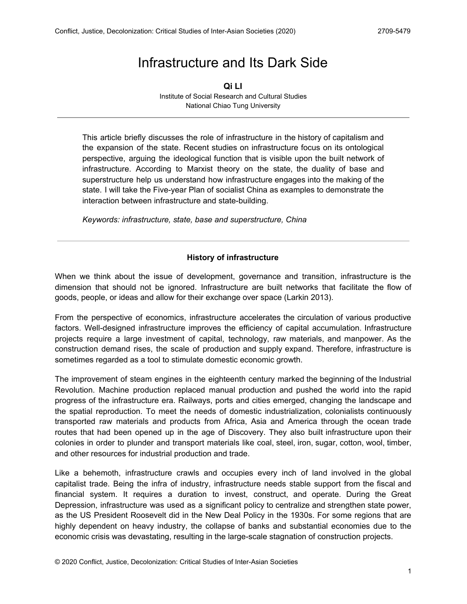# Infrastructure and Its Dark Side

**Qi LI** Institute of Social Research and Cultural Studies National Chiao Tung University

This article briefly discusses the role of infrastructure in the history of capitalism and the expansion of the state. Recent studies on infrastructure focus on its ontological perspective, arguing the ideological function that is visible upon the built network of infrastructure. According to Marxist theory on the state, the duality of base and superstructure help us understand how infrastructure engages into the making of the state. I will take the Five-year Plan of socialist China as examples to demonstrate the interaction between infrastructure and state-building.

*Keywords: infrastructure, state, base and superstructure, China*

#### **History of infrastructure**

When we think about the issue of development, governance and transition, infrastructure is the dimension that should not be ignored. Infrastructure are built networks that facilitate the flow of goods, people, or ideas and allow for their exchange over space (Larkin 2013).

From the perspective of economics, infrastructure accelerates the circulation of various productive factors. Well-designed infrastructure improves the efficiency of capital accumulation. Infrastructure projects require a large investment of capital, technology, raw materials, and manpower. As the construction demand rises, the scale of production and supply expand. Therefore, infrastructure is sometimes regarded as a tool to stimulate domestic economic growth.

The improvement of steam engines in the eighteenth century marked the beginning of the Industrial Revolution. Machine production replaced manual production and pushed the world into the rapid progress of the infrastructure era. Railways, ports and cities emerged, changing the landscape and the spatial reproduction. To meet the needs of domestic industrialization, colonialists continuously transported raw materials and products from Africa, Asia and America through the ocean trade routes that had been opened up in the age of Discovery. They also built infrastructure upon their colonies in order to plunder and transport materials like coal, steel, iron, sugar, cotton, wool, timber, and other resources for industrial production and trade.

Like a behemoth, infrastructure crawls and occupies every inch of land involved in the global capitalist trade. Being the infra of industry, infrastructure needs stable support from the fiscal and financial system. It requires a duration to invest, construct, and operate. During the Great Depression, infrastructure was used as a significant policy to centralize and strengthen state power, as the US President Roosevelt did in the New Deal Policy in the 1930s. For some regions that are highly dependent on heavy industry, the collapse of banks and substantial economies due to the economic crisis was devastating, resulting in the large-scale stagnation of construction projects.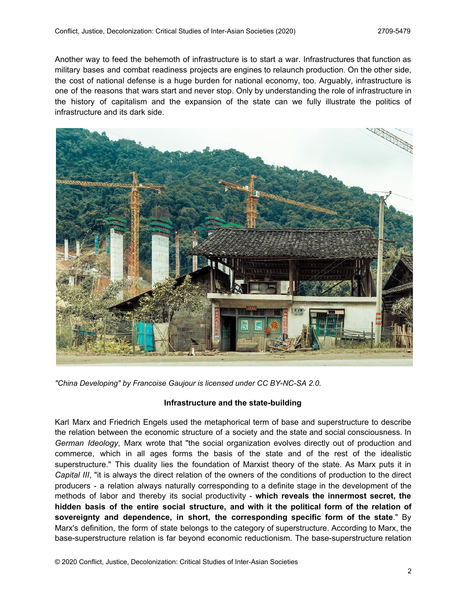Another way to feed the behemoth of infrastructure is to start a war. Infrastructures that function as military bases and combat readiness projects are engines to relaunch production. On the other side, the cost of national defense is a huge burden for national economy, too. Arguably, infrastructure is one of the reasons that wars start and never stop. Only by understanding the role of infrastructure in the history of capitalism and the expansion of the state can we fully illustrate the politics of infrastructure and its dark side.



*"China [Developing](https://www.flickr.com/photos/123411618@N07/37582817065/)" by [Francoise](https://www.flickr.com/photos/123411618@N07/) Gaujour is licensed under CC [BY-NC-SA](https://creativecommons.org/licenses/by-nc-sa/2.0/) 2.0.*

## **Infrastructure and the state-building**

Karl Marx and Friedrich Engels used the metaphorical term of base and superstructure to describe the relation between the economic structure of a society and the state and social consciousness. In *German Ideology*, Marx wrote that "the social organization evolves directly out of production and commerce, which in all ages forms the basis of the state and of the rest of the idealistic superstructure." This duality lies the foundation of Marxist theory of the state. As Marx puts it in *Capital III*, "it is always the direct relation of the owners of the conditions of production to the direct producers - a relation always naturally corresponding to a definite stage in the development of the methods of labor and thereby its social productivity - **which reveals the innermost secret, the hidden basis of the entire social structure, and with it the political form of the relation of sovereignty and dependence, in short, the corresponding specific form of the state**." By Marx's definition, the form of state belongs to the category of superstructure. According to Marx, the base-superstructure relation is far beyond economic reductionism. The base-superstructure relation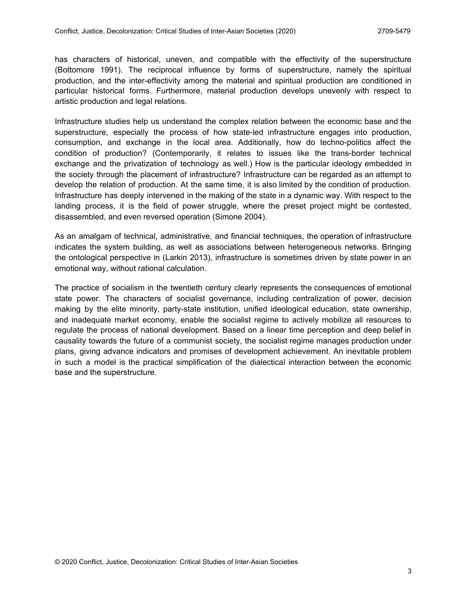has characters of historical, uneven, and compatible with the effectivity of the superstructure (Bottomore 1991). The reciprocal influence by forms of superstructure, namely the spiritual production, and the inter-effectivity among the material and spiritual production are conditioned in particular historical forms. Furthermore, material production develops unevenly with respect to artistic production and legal relations.

Infrastructure studies help us understand the complex relation between the economic base and the superstructure, especially the process of how state-led infrastructure engages into production, consumption, and exchange in the local area. Additionally, how do techno-politics affect the condition of production? (Contemporarily, it relates to issues like the trans-border technical exchange and the privatization of technology as well.) How is the particular ideology embedded in the society through the placement of infrastructure? Infrastructure can be regarded as an attempt to develop the relation of production. At the same time, it is also limited by the condition of production. Infrastructure has deeply intervened in the making of the state in a dynamic way. With respect to the landing process, it is the field of power struggle, where the preset project might be contested, disassembled, and even reversed operation (Simone 2004).

As an amalgam of technical, administrative, and financial techniques, the operation of infrastructure indicates the system building, as well as associations between heterogeneous networks. Bringing the ontological perspective in (Larkin 2013), infrastructure is sometimes driven by state power in an emotional way, without rational calculation.

The practice of socialism in the twentieth century clearly represents the consequences of emotional state power. The characters of socialist governance, including centralization of power, decision making by the elite minority, party-state institution, unified ideological education, state ownership, and inadequate market economy, enable the socialist regime to actively mobilize all resources to regulate the process of national development. Based on a linear time perception and deep belief in causality towards the future of a communist society, the socialist regime manages production under plans, giving advance indicators and promises of development achievement. An inevitable problem in such a model is the practical simplification of the dialectical interaction between the economic base and the superstructure.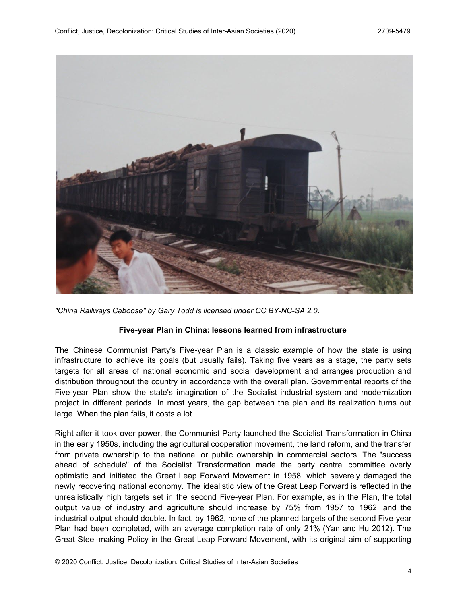

*"China Railways [Caboose"](https://www.flickr.com/photos/101561334@N08/10553245315/) by Gary [Todd](https://www.flickr.com/photos/101561334@N08/) is licensed under CC [BY-NC-SA](https://creativecommons.org/licenses/by-nc-sa/2.0/) 2.0.*

## **Five-year Plan in China: lessons learned from infrastructure**

The Chinese Communist Party's Five-year Plan is a classic example of how the state is using infrastructure to achieve its goals (but usually fails). Taking five years as a stage, the party sets targets for all areas of national economic and social development and arranges production and distribution throughout the country in accordance with the overall plan. Governmental reports of the Five-year Plan show the state's imagination of the Socialist industrial system and modernization project in different periods. In most years, the gap between the plan and its realization turns out large. When the plan fails, it costs a lot.

Right after it took over power, the Communist Party launched the Socialist Transformation in China in the early 1950s, including the agricultural cooperation movement, the land reform, and the transfer from private ownership to the national or public ownership in commercial sectors. The "success ahead of schedule" of the Socialist Transformation made the party central committee overly optimistic and initiated the Great Leap Forward Movement in 1958, which severely damaged the newly recovering national economy. The idealistic view of the Great Leap Forward is reflected in the unrealistically high targets set in the second Five-year Plan. For example, as in the Plan, the total output value of industry and agriculture should increase by 75% from 1957 to 1962, and the industrial output should double. In fact, by 1962, none of the planned targets of the second Five-year Plan had been completed, with an average completion rate of only 21% (Yan and Hu 2012). The Great Steel-making Policy in the Great Leap Forward Movement, with its original aim of supporting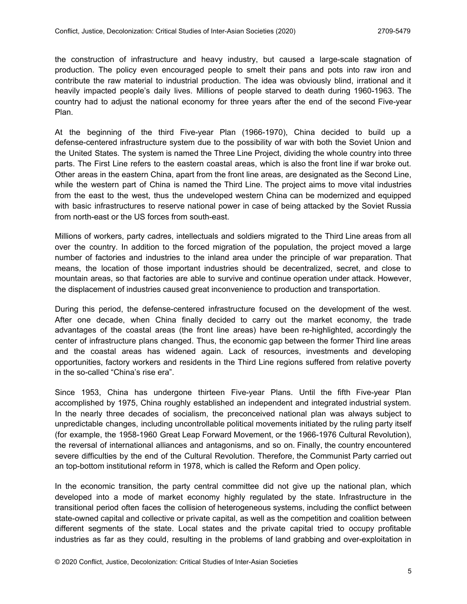the construction of infrastructure and heavy industry, but caused a large-scale stagnation of production. The policy even encouraged people to smelt their pans and pots into raw iron and contribute the raw material to industrial production. The idea was obviously blind, irrational and it heavily impacted people's daily lives. Millions of people starved to death during 1960-1963. The country had to adjust the national economy for three years after the end of the second Five-year Plan.

At the beginning of the third Five-year Plan (1966-1970), China decided to build up a defense-centered infrastructure system due to the possibility of war with both the Soviet Union and the United States. The system is named the Three Line Project, dividing the whole country into three parts. The First Line refers to the eastern coastal areas, which is also the front line if war broke out. Other areas in the eastern China, apart from the front line areas, are designated as the Second Line, while the western part of China is named the Third Line. The project aims to move vital industries from the east to the west, thus the undeveloped western China can be modernized and equipped with basic infrastructures to reserve national power in case of being attacked by the Soviet Russia from north-east or the US forces from south-east.

Millions of workers, party cadres, intellectuals and soldiers migrated to the Third Line areas from all over the country. In addition to the forced migration of the population, the project moved a large number of factories and industries to the inland area under the principle of war preparation. That means, the location of those important industries should be decentralized, secret, and close to mountain areas, so that factories are able to survive and continue operation under attack. However, the displacement of industries caused great inconvenience to production and transportation.

During this period, the defense-centered infrastructure focused on the development of the west. After one decade, when China finally decided to carry out the market economy, the trade advantages of the coastal areas (the front line areas) have been re-highlighted, accordingly the center of infrastructure plans changed. Thus, the economic gap between the former Third line areas and the coastal areas has widened again. Lack of resources, investments and developing opportunities, factory workers and residents in the Third Line regions suffered from relative poverty in the so-called "China's rise era".

Since 1953, China has undergone thirteen Five-year Plans. Until the fifth Five-year Plan accomplished by 1975, China roughly established an independent and integrated industrial system. In the nearly three decades of socialism, the preconceived national plan was always subject to unpredictable changes, including uncontrollable political movements initiated by the ruling party itself (for example, the 1958-1960 Great Leap Forward Movement, or the 1966-1976 Cultural Revolution), the reversal of international alliances and antagonisms, and so on. Finally, the country encountered severe difficulties by the end of the Cultural Revolution. Therefore, the Communist Party carried out an top-bottom institutional reform in 1978, which is called the Reform and Open policy.

In the economic transition, the party central committee did not give up the national plan, which developed into a mode of market economy highly regulated by the state. Infrastructure in the transitional period often faces the collision of heterogeneous systems, including the conflict between state-owned capital and collective or private capital, as well as the competition and coalition between different segments of the state. Local states and the private capital tried to occupy profitable industries as far as they could, resulting in the problems of land grabbing and over-exploitation in